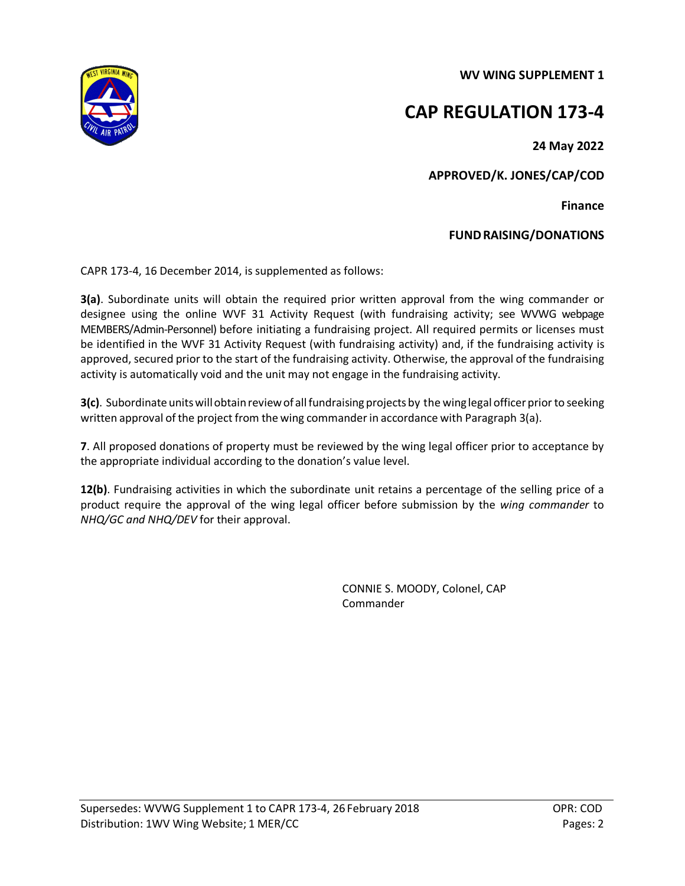**WV WING SUPPLEMENT 1**



## **CAP REGULATION 173-4**

**24 May 2022** 

**APPROVED/K. JONES/CAP/COD**

**Finance** 

## **FUNDRAISING/DONATIONS**

CAPR 173-4, 16 December 2014, is supplemented as follows:

**3(a)**. Subordinate units will obtain the required prior written approval from the wing commander or designee using the online WVF 31 Activity Request (with fundraising activity; see WVWG webpage MEMBERS/Admin-Personnel) before initiating a fundraising project. All required permits or licenses must be identified in the WVF 31 Activity Request (with fundraising activity) and, if the fundraising activity is approved, secured prior to the start of the fundraising activity. Otherwise, the approval of the fundraising activity is automatically void and the unit may not engage in the fundraising activity.

**3(c)**. Subordinate units will obtain review of all fundraising projects by the wing legal officer prior to seeking written approval of the project from the wing commander in accordance with Paragraph 3(a).

**7**. All proposed donations of property must be reviewed by the wing legal officer prior to acceptance by the appropriate individual according to the donation's value level.

**12(b)**. Fundraising activities in which the subordinate unit retains a percentage of the selling price of a product require the approval of the wing legal officer before submission by the *wing commander* to *NHQ/GC and NHQ/DEV* for their approval.

> CONNIE S. MOODY, Colonel, CAP Commander